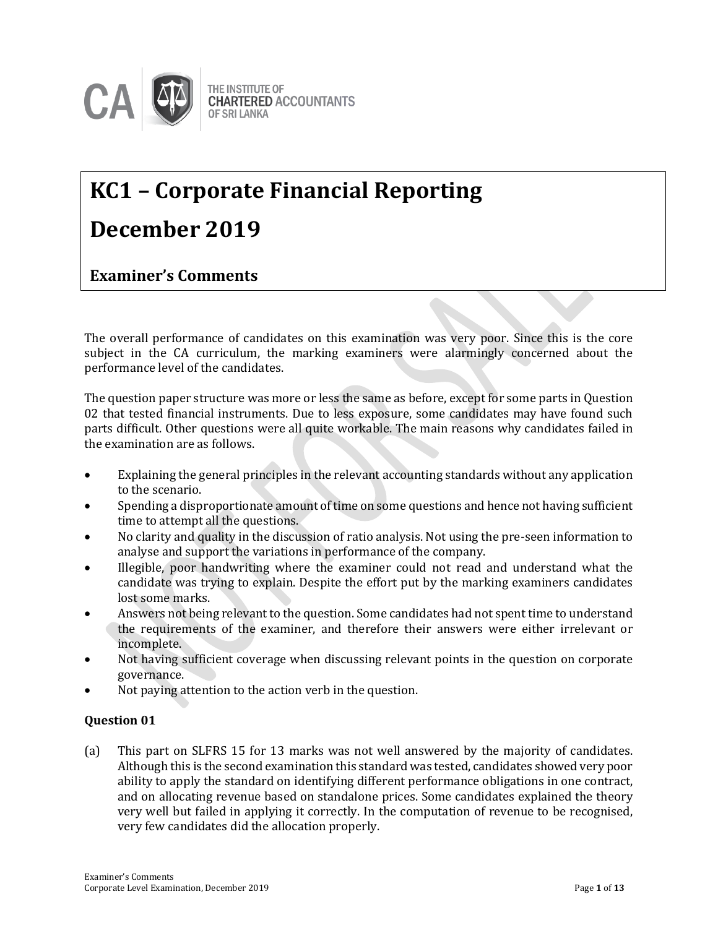

# **KC1 – Corporate Financial Reporting December 2019**

### **Examiner's Comments**

The overall performance of candidates on this examination was very poor. Since this is the core subject in the CA curriculum, the marking examiners were alarmingly concerned about the performance level of the candidates.

The question paper structure was more or less the same as before, except for some parts in Question 02 that tested financial instruments. Due to less exposure, some candidates may have found such parts difficult. Other questions were all quite workable. The main reasons why candidates failed in the examination are as follows.

- Explaining the general principles in the relevant accounting standards without any application to the scenario.
- Spending a disproportionate amount of time on some questions and hence not having sufficient time to attempt all the questions.
- No clarity and quality in the discussion of ratio analysis. Not using the pre-seen information to analyse and support the variations in performance of the company.
- Illegible, poor handwriting where the examiner could not read and understand what the candidate was trying to explain. Despite the effort put by the marking examiners candidates lost some marks.
- Answers not being relevant to the question. Some candidates had not spent time to understand the requirements of the examiner, and therefore their answers were either irrelevant or incomplete.
- Not having sufficient coverage when discussing relevant points in the question on corporate governance.
- Not paying attention to the action verb in the question.

#### **Question 01**

(a) This part on SLFRS 15 for 13 marks was not well answered by the majority of candidates. Although this is the second examination this standard was tested, candidates showed very poor ability to apply the standard on identifying different performance obligations in one contract, and on allocating revenue based on standalone prices. Some candidates explained the theory very well but failed in applying it correctly. In the computation of revenue to be recognised, very few candidates did the allocation properly.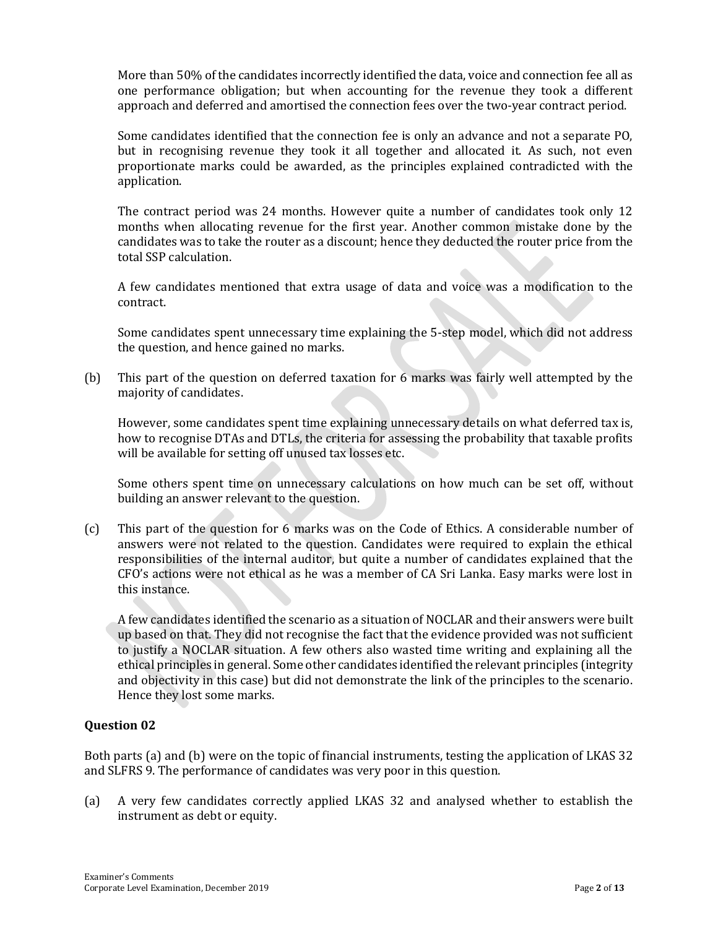More than 50% of the candidates incorrectly identified the data, voice and connection fee all as one performance obligation; but when accounting for the revenue they took a different approach and deferred and amortised the connection fees over the two-year contract period.

Some candidates identified that the connection fee is only an advance and not a separate PO, but in recognising revenue they took it all together and allocated it. As such, not even proportionate marks could be awarded, as the principles explained contradicted with the application.

The contract period was 24 months. However quite a number of candidates took only 12 months when allocating revenue for the first year. Another common mistake done by the candidates was to take the router as a discount; hence they deducted the router price from the total SSP calculation.

A few candidates mentioned that extra usage of data and voice was a modification to the contract.

Some candidates spent unnecessary time explaining the 5-step model, which did not address the question, and hence gained no marks.

(b) This part of the question on deferred taxation for 6 marks was fairly well attempted by the majority of candidates.

However, some candidates spent time explaining unnecessary details on what deferred tax is, how to recognise DTAs and DTLs, the criteria for assessing the probability that taxable profits will be available for setting off unused tax losses etc.

Some others spent time on unnecessary calculations on how much can be set off, without building an answer relevant to the question.

(c) This part of the question for 6 marks was on the Code of Ethics. A considerable number of answers were not related to the question. Candidates were required to explain the ethical responsibilities of the internal auditor, but quite a number of candidates explained that the CFO's actions were not ethical as he was a member of CA Sri Lanka. Easy marks were lost in this instance.

A few candidates identified the scenario as a situation of NOCLAR and their answers were built up based on that. They did not recognise the fact that the evidence provided was not sufficient to justify a NOCLAR situation. A few others also wasted time writing and explaining all the ethical principles in general. Some other candidates identified the relevant principles (integrity and objectivity in this case) but did not demonstrate the link of the principles to the scenario. Hence they lost some marks.

#### **Question 02**

Both parts (a) and (b) were on the topic of financial instruments, testing the application of LKAS 32 and SLFRS 9. The performance of candidates was very poor in this question.

(a) A very few candidates correctly applied LKAS 32 and analysed whether to establish the instrument as debt or equity.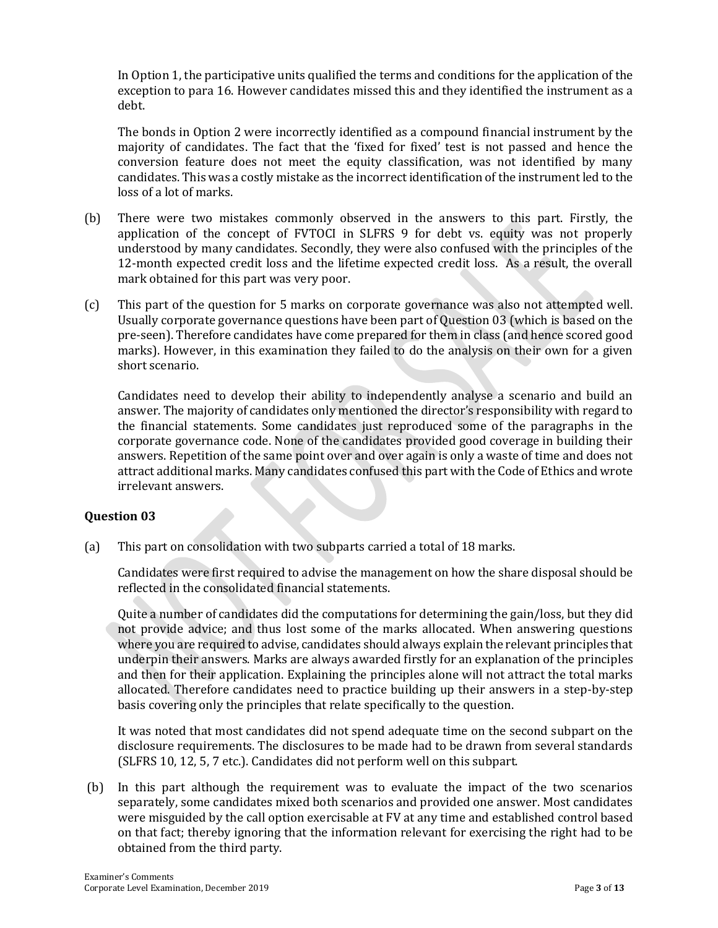In Option 1, the participative units qualified the terms and conditions for the application of the exception to para 16. However candidates missed this and they identified the instrument as a debt.

The bonds in Option 2 were incorrectly identified as a compound financial instrument by the majority of candidates. The fact that the 'fixed for fixed' test is not passed and hence the conversion feature does not meet the equity classification, was not identified by many candidates. This was a costly mistake as the incorrect identification of the instrument led to the loss of a lot of marks.

- (b) There were two mistakes commonly observed in the answers to this part. Firstly, the application of the concept of FVTOCI in SLFRS 9 for debt vs. equity was not properly understood by many candidates. Secondly, they were also confused with the principles of the 12-month expected credit loss and the lifetime expected credit loss. As a result, the overall mark obtained for this part was very poor.
- (c) This part of the question for 5 marks on corporate governance was also not attempted well. Usually corporate governance questions have been part of Question 03 (which is based on the pre-seen). Therefore candidates have come prepared for them in class (and hence scored good marks). However, in this examination they failed to do the analysis on their own for a given short scenario.

Candidates need to develop their ability to independently analyse a scenario and build an answer. The majority of candidates only mentioned the director's responsibility with regard to the financial statements. Some candidates just reproduced some of the paragraphs in the corporate governance code. None of the candidates provided good coverage in building their answers. Repetition of the same point over and over again is only a waste of time and does not attract additional marks. Many candidates confused this part with the Code of Ethics and wrote irrelevant answers.

#### **Question 03**

(a) This part on consolidation with two subparts carried a total of 18 marks.

Candidates were first required to advise the management on how the share disposal should be reflected in the consolidated financial statements.

Quite a number of candidates did the computations for determining the gain/loss, but they did not provide advice; and thus lost some of the marks allocated. When answering questions where you are required to advise, candidates should always explain the relevant principles that underpin their answers. Marks are always awarded firstly for an explanation of the principles and then for their application. Explaining the principles alone will not attract the total marks allocated. Therefore candidates need to practice building up their answers in a step-by-step basis covering only the principles that relate specifically to the question.

It was noted that most candidates did not spend adequate time on the second subpart on the disclosure requirements. The disclosures to be made had to be drawn from several standards (SLFRS 10, 12, 5, 7 etc.). Candidates did not perform well on this subpart.

(b) In this part although the requirement was to evaluate the impact of the two scenarios separately, some candidates mixed both scenarios and provided one answer. Most candidates were misguided by the call option exercisable at FV at any time and established control based on that fact; thereby ignoring that the information relevant for exercising the right had to be obtained from the third party.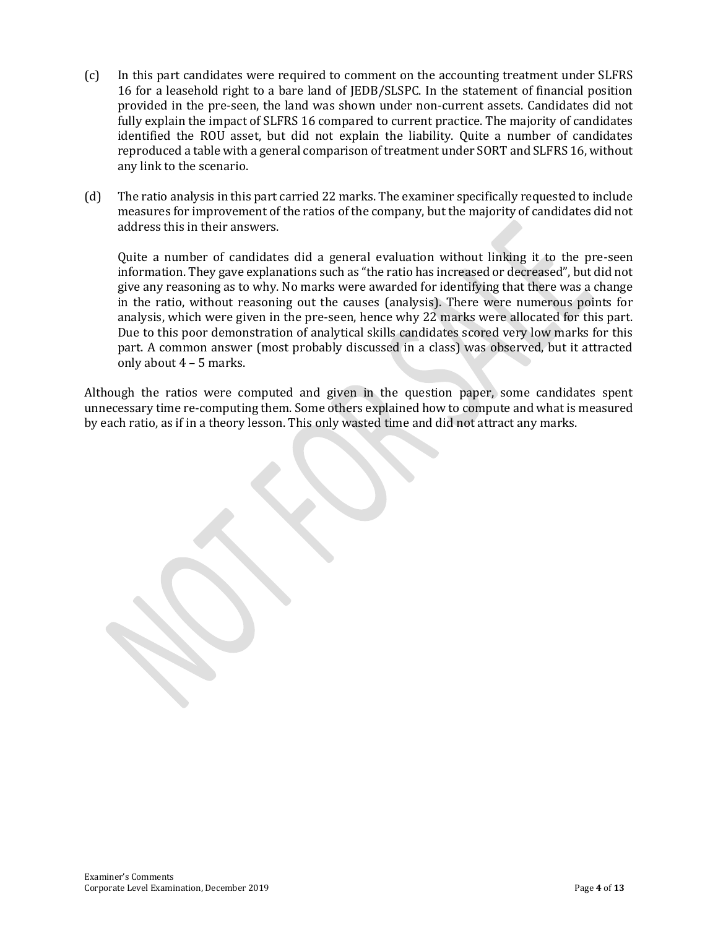- (c) In this part candidates were required to comment on the accounting treatment under SLFRS 16 for a leasehold right to a bare land of JEDB/SLSPC. In the statement of financial position provided in the pre-seen, the land was shown under non-current assets. Candidates did not fully explain the impact of SLFRS 16 compared to current practice. The majority of candidates identified the ROU asset, but did not explain the liability. Quite a number of candidates reproduced a table with a general comparison of treatment under SORT and SLFRS 16, without any link to the scenario.
- (d) The ratio analysis in this part carried 22 marks. The examiner specifically requested to include measures for improvement of the ratios of the company, but the majority of candidates did not address this in their answers.

Quite a number of candidates did a general evaluation without linking it to the pre-seen information. They gave explanations such as "the ratio has increased or decreased", but did not give any reasoning as to why. No marks were awarded for identifying that there was a change in the ratio, without reasoning out the causes (analysis). There were numerous points for analysis, which were given in the pre-seen, hence why 22 marks were allocated for this part. Due to this poor demonstration of analytical skills candidates scored very low marks for this part. A common answer (most probably discussed in a class) was observed, but it attracted only about 4 – 5 marks.

Although the ratios were computed and given in the question paper, some candidates spent unnecessary time re-computing them. Some others explained how to compute and what is measured by each ratio, as if in a theory lesson. This only wasted time and did not attract any marks.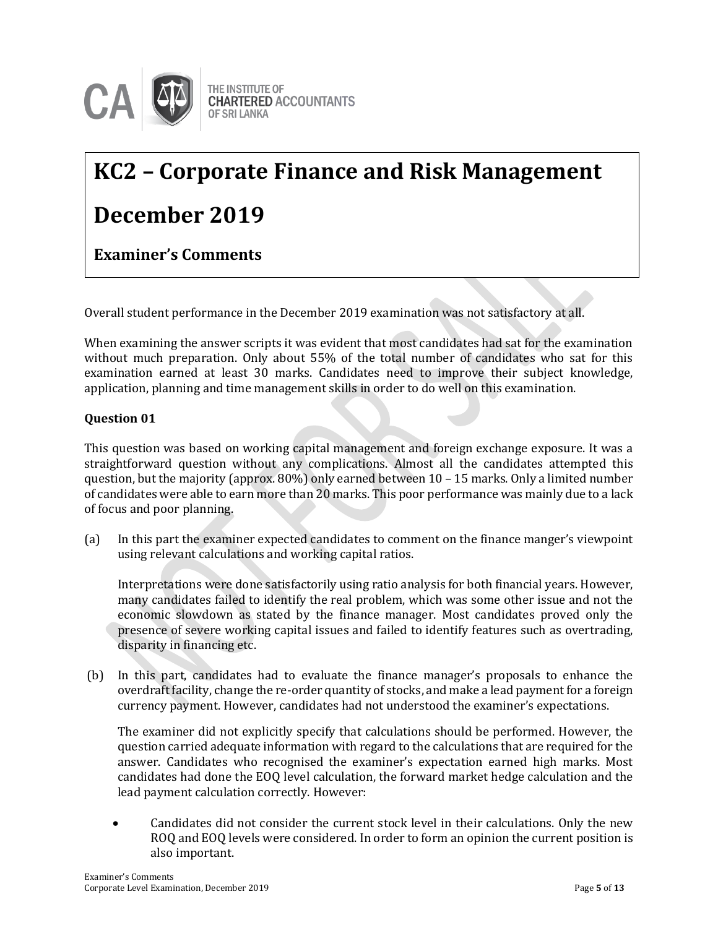

# **KC2 – Corporate Finance and Risk Management**

## **December 2019**

**Examiner's Comments**

Overall student performance in the December 2019 examination was not satisfactory at all.

When examining the answer scripts it was evident that most candidates had sat for the examination without much preparation. Only about 55% of the total number of candidates who sat for this examination earned at least 30 marks. Candidates need to improve their subject knowledge, application, planning and time management skills in order to do well on this examination.

#### **Question 01**

This question was based on working capital management and foreign exchange exposure. It was a straightforward question without any complications. Almost all the candidates attempted this question, but the majority (approx. 80%) only earned between 10 – 15 marks. Only a limited number of candidates were able to earn more than 20 marks. This poor performance was mainly due to a lack of focus and poor planning.

(a) In this part the examiner expected candidates to comment on the finance manger's viewpoint using relevant calculations and working capital ratios.

Interpretations were done satisfactorily using ratio analysis for both financial years. However, many candidates failed to identify the real problem, which was some other issue and not the economic slowdown as stated by the finance manager. Most candidates proved only the presence of severe working capital issues and failed to identify features such as overtrading, disparity in financing etc.

(b) In this part, candidates had to evaluate the finance manager's proposals to enhance the overdraft facility, change the re-order quantity of stocks, and make a lead payment for a foreign currency payment. However, candidates had not understood the examiner's expectations.

The examiner did not explicitly specify that calculations should be performed. However, the question carried adequate information with regard to the calculations that are required for the answer. Candidates who recognised the examiner's expectation earned high marks. Most candidates had done the EOQ level calculation, the forward market hedge calculation and the lead payment calculation correctly. However:

 Candidates did not consider the current stock level in their calculations. Only the new ROQ and EOQ levels were considered. In order to form an opinion the current position is also important.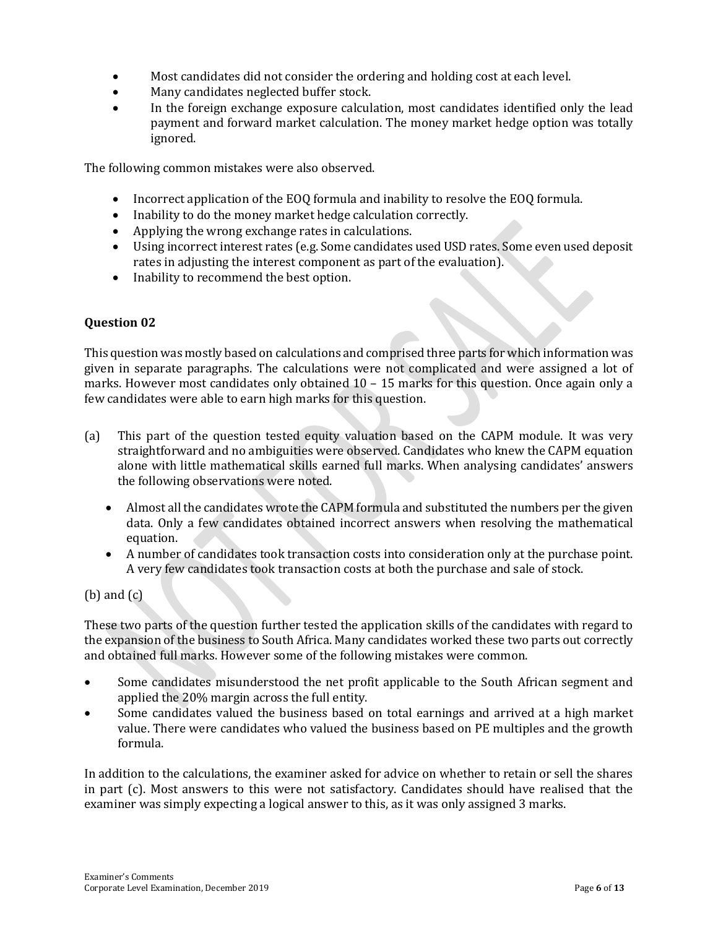- Most candidates did not consider the ordering and holding cost at each level.
- Many candidates neglected buffer stock.
- In the foreign exchange exposure calculation, most candidates identified only the lead payment and forward market calculation. The money market hedge option was totally ignored.

The following common mistakes were also observed.

- Incorrect application of the EOQ formula and inability to resolve the EOQ formula.
- Inability to do the money market hedge calculation correctly.
- Applying the wrong exchange rates in calculations.
- Using incorrect interest rates (e.g. Some candidates used USD rates. Some even used deposit rates in adjusting the interest component as part of the evaluation).
- Inability to recommend the best option.

#### **Question 02**

This question was mostly based on calculations and comprised three parts for which information was given in separate paragraphs. The calculations were not complicated and were assigned a lot of marks. However most candidates only obtained  $10 - 15$  marks for this question. Once again only a few candidates were able to earn high marks for this question.

- (a) This part of the question tested equity valuation based on the CAPM module. It was very straightforward and no ambiguities were observed. Candidates who knew the CAPM equation alone with little mathematical skills earned full marks. When analysing candidates' answers the following observations were noted.
	- Almost all the candidates wrote the CAPM formula and substituted the numbers per the given data. Only a few candidates obtained incorrect answers when resolving the mathematical equation.
	- A number of candidates took transaction costs into consideration only at the purchase point. A very few candidates took transaction costs at both the purchase and sale of stock.

(b) and (c)

These two parts of the question further tested the application skills of the candidates with regard to the expansion of the business to South Africa. Many candidates worked these two parts out correctly and obtained full marks. However some of the following mistakes were common.

- Some candidates misunderstood the net profit applicable to the South African segment and applied the 20% margin across the full entity.
- Some candidates valued the business based on total earnings and arrived at a high market value. There were candidates who valued the business based on PE multiples and the growth formula.

In addition to the calculations, the examiner asked for advice on whether to retain or sell the shares in part (c). Most answers to this were not satisfactory. Candidates should have realised that the examiner was simply expecting a logical answer to this, as it was only assigned 3 marks.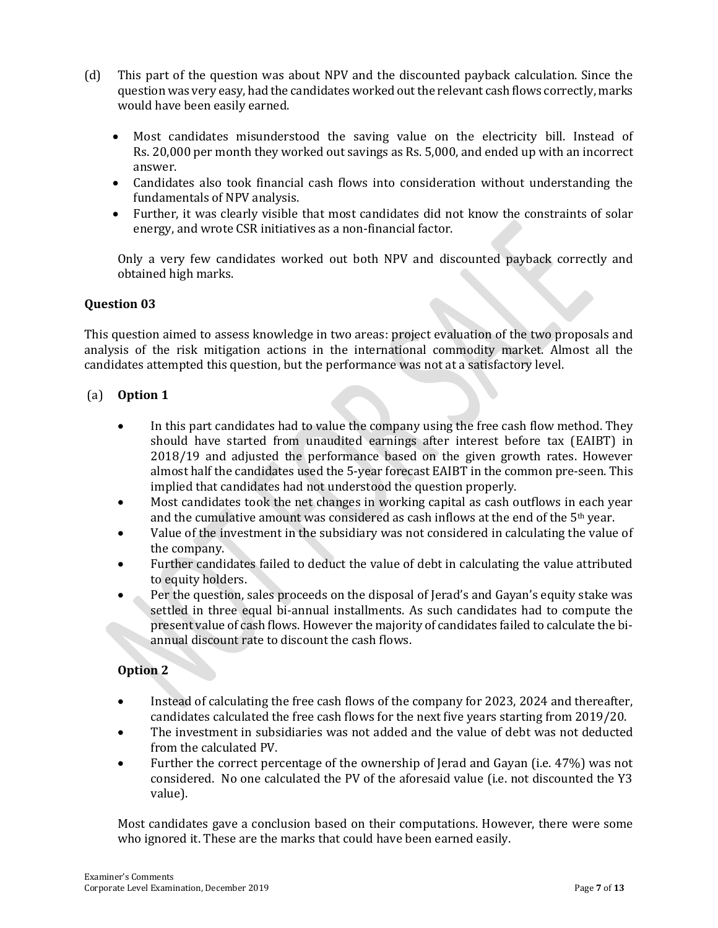- (d) This part of the question was about NPV and the discounted payback calculation. Since the question was very easy, had the candidates worked out the relevant cash flows correctly, marks would have been easily earned.
	- Most candidates misunderstood the saving value on the electricity bill. Instead of Rs. 20,000 per month they worked out savings as Rs. 5,000, and ended up with an incorrect answer.
	- Candidates also took financial cash flows into consideration without understanding the fundamentals of NPV analysis.
	- Further, it was clearly visible that most candidates did not know the constraints of solar energy, and wrote CSR initiatives as a non-financial factor.

Only a very few candidates worked out both NPV and discounted payback correctly and obtained high marks.

#### **Question 03**

This question aimed to assess knowledge in two areas: project evaluation of the two proposals and analysis of the risk mitigation actions in the international commodity market. Almost all the candidates attempted this question, but the performance was not at a satisfactory level.

#### (a) **Option 1**

- In this part candidates had to value the company using the free cash flow method. They should have started from unaudited earnings after interest before tax (EAIBT) in 2018/19 and adjusted the performance based on the given growth rates. However almost half the candidates used the 5-year forecast EAIBT in the common pre-seen. This implied that candidates had not understood the question properly.
- Most candidates took the net changes in working capital as cash outflows in each year and the cumulative amount was considered as cash inflows at the end of the  $5<sup>th</sup>$  year.
- Value of the investment in the subsidiary was not considered in calculating the value of the company.
- Further candidates failed to deduct the value of debt in calculating the value attributed to equity holders.
- Per the question, sales proceeds on the disposal of Jerad's and Gayan's equity stake was settled in three equal bi-annual installments. As such candidates had to compute the present value of cash flows. However the majority of candidates failed to calculate the biannual discount rate to discount the cash flows.

#### **Option 2**

- Instead of calculating the free cash flows of the company for 2023, 2024 and thereafter, candidates calculated the free cash flows for the next five years starting from 2019/20.
- The investment in subsidiaries was not added and the value of debt was not deducted from the calculated PV.
- Further the correct percentage of the ownership of Jerad and Gayan (i.e. 47%) was not considered. No one calculated the PV of the aforesaid value (i.e. not discounted the Y3 value).

Most candidates gave a conclusion based on their computations. However, there were some who ignored it. These are the marks that could have been earned easily.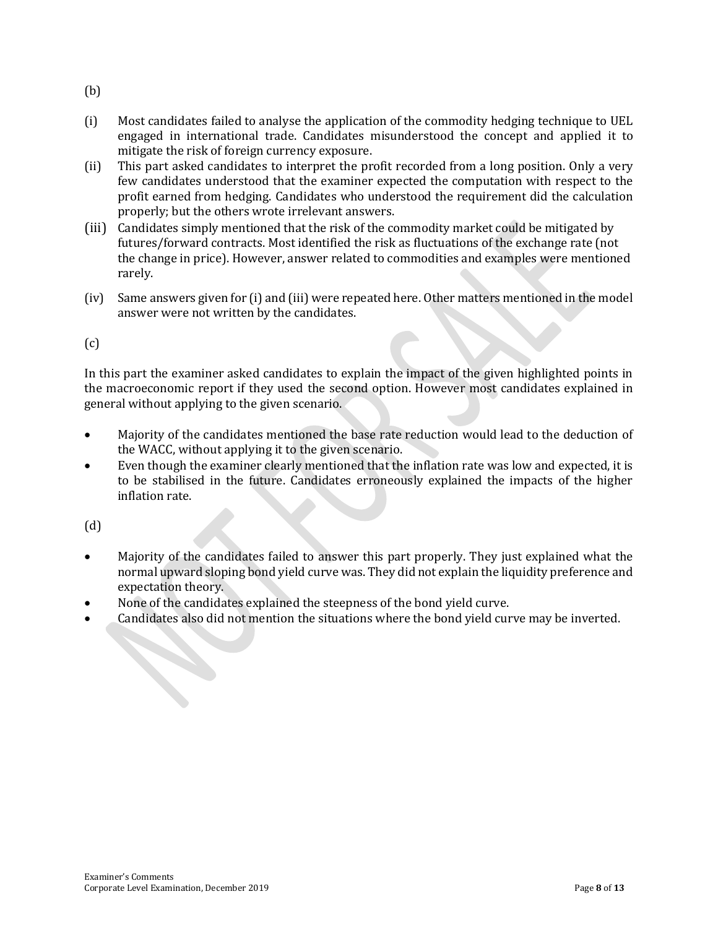- (b)
- (i) Most candidates failed to analyse the application of the commodity hedging technique to UEL engaged in international trade. Candidates misunderstood the concept and applied it to mitigate the risk of foreign currency exposure.
- (ii) This part asked candidates to interpret the profit recorded from a long position. Only a very few candidates understood that the examiner expected the computation with respect to the profit earned from hedging. Candidates who understood the requirement did the calculation properly; but the others wrote irrelevant answers.
- (iii) Candidates simply mentioned that the risk of the commodity market could be mitigated by futures/forward contracts. Most identified the risk as fluctuations of the exchange rate (not the change in price). However, answer related to commodities and examples were mentioned rarely.
- (iv) Same answers given for (i) and (iii) were repeated here. Other matters mentioned in the model answer were not written by the candidates.

 $(c)$ 

In this part the examiner asked candidates to explain the impact of the given highlighted points in the macroeconomic report if they used the second option. However most candidates explained in general without applying to the given scenario.

- Majority of the candidates mentioned the base rate reduction would lead to the deduction of the WACC, without applying it to the given scenario.
- Even though the examiner clearly mentioned that the inflation rate was low and expected, it is to be stabilised in the future. Candidates erroneously explained the impacts of the higher inflation rate.

(d)

- Majority of the candidates failed to answer this part properly. They just explained what the normal upward sloping bond yield curve was. They did not explain the liquidity preference and expectation theory.
- None of the candidates explained the steepness of the bond yield curve.
- Candidates also did not mention the situations where the bond yield curve may be inverted.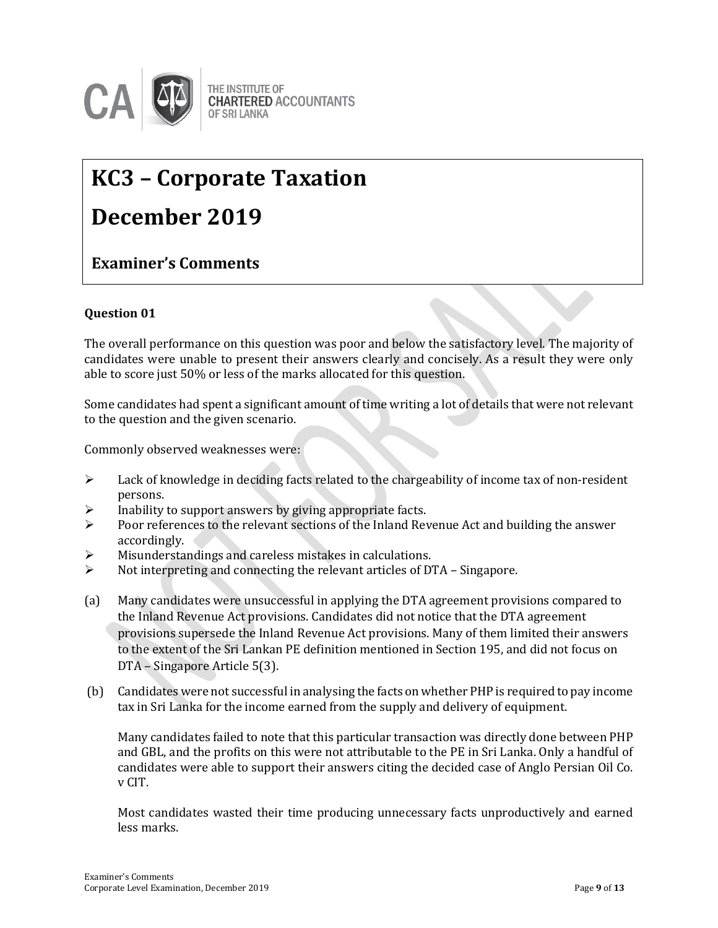

### THE INSTITUTE OF **CHARTERED ACCOUNTANTS**

# **KC3 – Corporate Taxation**

## **December 2019**

### **Examiner's Comments**

#### **Question 01**

The overall performance on this question was poor and below the satisfactory level. The majority of candidates were unable to present their answers clearly and concisely. As a result they were only able to score just 50% or less of the marks allocated for this question.

Some candidates had spent a significant amount of time writing a lot of details that were not relevant to the question and the given scenario.

Commonly observed weaknesses were:

- $\triangleright$  Lack of knowledge in deciding facts related to the chargeability of income tax of non-resident persons.
- $\triangleright$  Inability to support answers by giving appropriate facts.
- $\triangleright$  Poor references to the relevant sections of the Inland Revenue Act and building the answer accordingly.
- Misunderstandings and careless mistakes in calculations.
- $\triangleright$  Not interpreting and connecting the relevant articles of DTA Singapore.
- (a) Many candidates were unsuccessful in applying the DTA agreement provisions compared to the Inland Revenue Act provisions. Candidates did not notice that the DTA agreement provisions supersede the Inland Revenue Act provisions. Many of them limited their answers to the extent of the Sri Lankan PE definition mentioned in Section 195, and did not focus on DTA – Singapore Article 5(3).
- (b) Candidates were not successful in analysing the facts on whether PHP is required to pay income tax in Sri Lanka for the income earned from the supply and delivery of equipment.

Many candidates failed to note that this particular transaction was directly done between PHP and GBL, and the profits on this were not attributable to the PE in Sri Lanka. Only a handful of candidates were able to support their answers citing the decided case of Anglo Persian Oil Co. v CIT.

Most candidates wasted their time producing unnecessary facts unproductively and earned less marks.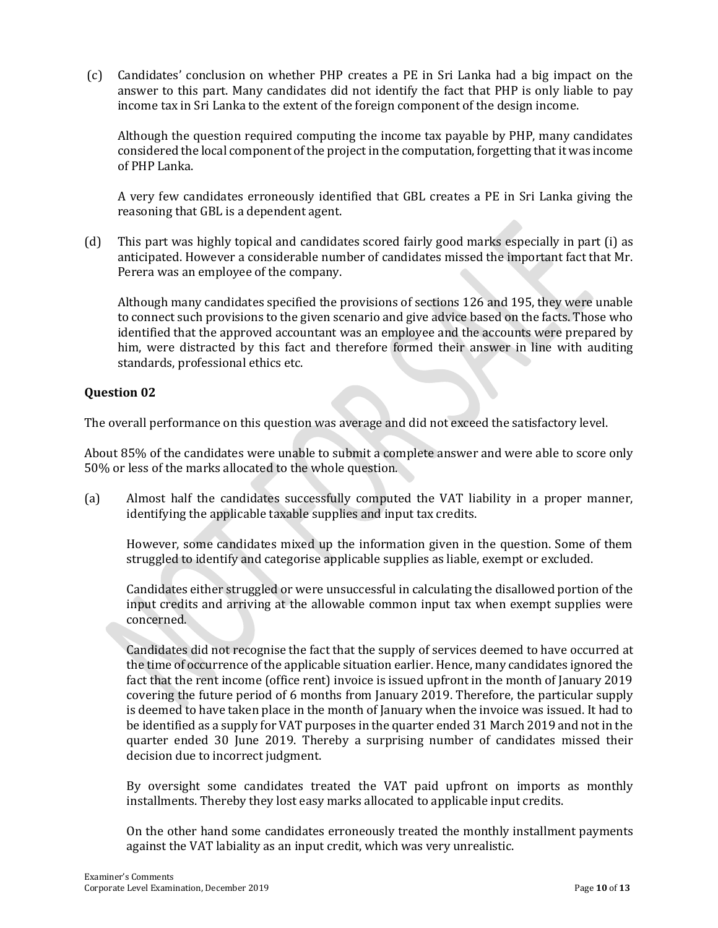(c) Candidates' conclusion on whether PHP creates a PE in Sri Lanka had a big impact on the answer to this part. Many candidates did not identify the fact that PHP is only liable to pay income tax in Sri Lanka to the extent of the foreign component of the design income.

Although the question required computing the income tax payable by PHP, many candidates considered the local component of the project in the computation, forgetting that it was income of PHP Lanka.

A very few candidates erroneously identified that GBL creates a PE in Sri Lanka giving the reasoning that GBL is a dependent agent.

(d) This part was highly topical and candidates scored fairly good marks especially in part (i) as anticipated. However a considerable number of candidates missed the important fact that Mr. Perera was an employee of the company.

Although many candidates specified the provisions of sections 126 and 195, they were unable to connect such provisions to the given scenario and give advice based on the facts. Those who identified that the approved accountant was an employee and the accounts were prepared by him, were distracted by this fact and therefore formed their answer in line with auditing standards, professional ethics etc.

#### **Question 02**

The overall performance on this question was average and did not exceed the satisfactory level.

About 85% of the candidates were unable to submit a complete answer and were able to score only 50% or less of the marks allocated to the whole question.

(a) Almost half the candidates successfully computed the VAT liability in a proper manner, identifying the applicable taxable supplies and input tax credits.

However, some candidates mixed up the information given in the question. Some of them struggled to identify and categorise applicable supplies as liable, exempt or excluded.

Candidates either struggled or were unsuccessful in calculating the disallowed portion of the input credits and arriving at the allowable common input tax when exempt supplies were concerned.

Candidates did not recognise the fact that the supply of services deemed to have occurred at the time of occurrence of the applicable situation earlier. Hence, many candidates ignored the fact that the rent income (office rent) invoice is issued upfront in the month of January 2019 covering the future period of 6 months from January 2019. Therefore, the particular supply is deemed to have taken place in the month of January when the invoice was issued. It had to be identified as a supply for VAT purposes in the quarter ended 31 March 2019 and not in the quarter ended 30 June 2019. Thereby a surprising number of candidates missed their decision due to incorrect judgment.

By oversight some candidates treated the VAT paid upfront on imports as monthly installments. Thereby they lost easy marks allocated to applicable input credits.

On the other hand some candidates erroneously treated the monthly installment payments against the VAT labiality as an input credit, which was very unrealistic.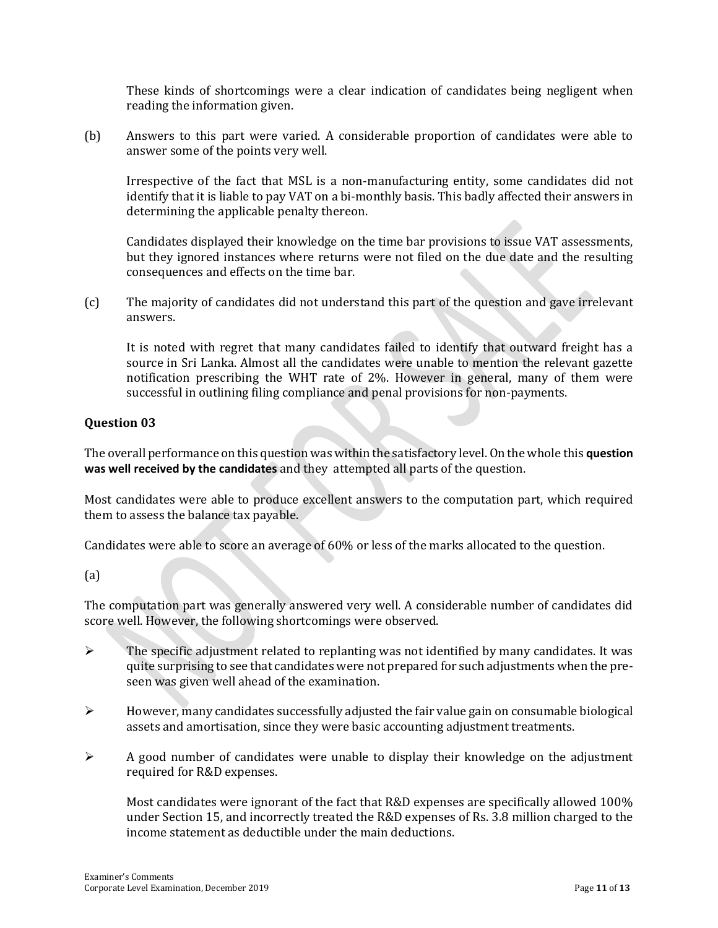These kinds of shortcomings were a clear indication of candidates being negligent when reading the information given.

(b) Answers to this part were varied. A considerable proportion of candidates were able to answer some of the points very well.

Irrespective of the fact that MSL is a non-manufacturing entity, some candidates did not identify that it is liable to pay VAT on a bi-monthly basis. This badly affected their answers in determining the applicable penalty thereon.

Candidates displayed their knowledge on the time bar provisions to issue VAT assessments, but they ignored instances where returns were not filed on the due date and the resulting consequences and effects on the time bar.

(c) The majority of candidates did not understand this part of the question and gave irrelevant answers.

It is noted with regret that many candidates failed to identify that outward freight has a source in Sri Lanka. Almost all the candidates were unable to mention the relevant gazette notification prescribing the WHT rate of 2%. However in general, many of them were successful in outlining filing compliance and penal provisions for non-payments.

#### **Question 03**

The overall performance on this question was within the satisfactory level. On the whole this **question was well received by the candidates** and they attempted all parts of the question.

Most candidates were able to produce excellent answers to the computation part, which required them to assess the balance tax payable.

Candidates were able to score an average of 60% or less of the marks allocated to the question.

#### (a)

The computation part was generally answered very well. A considerable number of candidates did score well. However, the following shortcomings were observed.

- $\triangleright$  The specific adjustment related to replanting was not identified by many candidates. It was quite surprising to see that candidates were not prepared for such adjustments when the preseen was given well ahead of the examination.
- $\triangleright$  However, many candidates successfully adjusted the fair value gain on consumable biological assets and amortisation, since they were basic accounting adjustment treatments.
- $\triangleright$  A good number of candidates were unable to display their knowledge on the adjustment required for R&D expenses.

Most candidates were ignorant of the fact that R&D expenses are specifically allowed 100% under Section 15, and incorrectly treated the R&D expenses of Rs. 3.8 million charged to the income statement as deductible under the main deductions.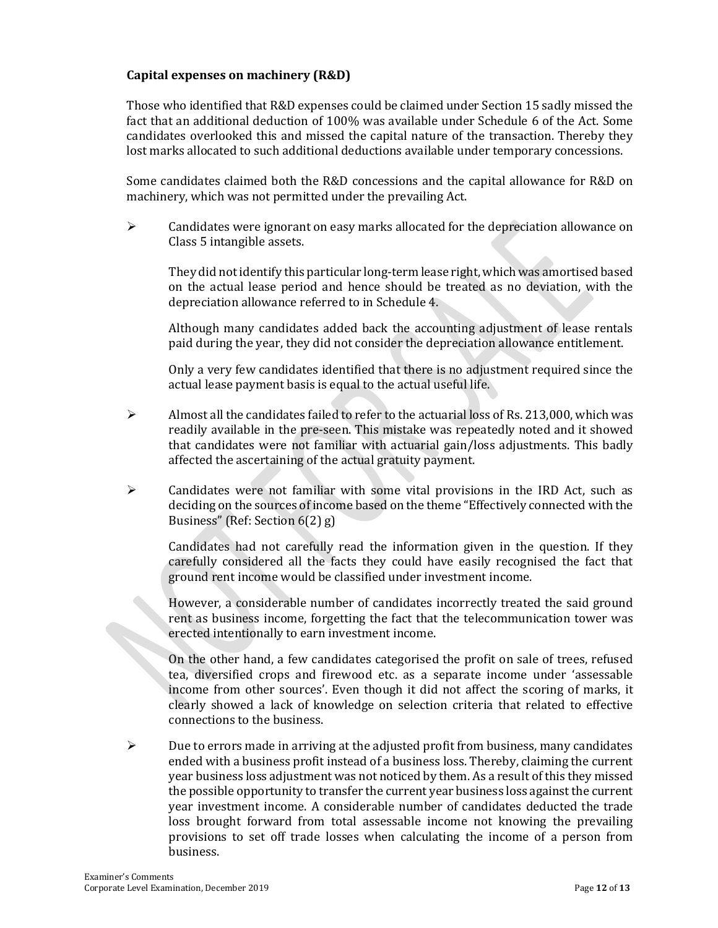#### **Capital expenses on machinery (R&D)**

Those who identified that R&D expenses could be claimed under Section 15 sadly missed the fact that an additional deduction of 100% was available under Schedule 6 of the Act. Some candidates overlooked this and missed the capital nature of the transaction. Thereby they lost marks allocated to such additional deductions available under temporary concessions.

Some candidates claimed both the R&D concessions and the capital allowance for R&D on machinery, which was not permitted under the prevailing Act.

 $\triangleright$  Candidates were ignorant on easy marks allocated for the depreciation allowance on Class 5 intangible assets.

They did not identify this particular long-term lease right, which was amortised based on the actual lease period and hence should be treated as no deviation, with the depreciation allowance referred to in Schedule 4.

Although many candidates added back the accounting adjustment of lease rentals paid during the year, they did not consider the depreciation allowance entitlement.

Only a very few candidates identified that there is no adjustment required since the actual lease payment basis is equal to the actual useful life.

- $\triangleright$  Almost all the candidates failed to refer to the actuarial loss of Rs. 213,000, which was readily available in the pre-seen. This mistake was repeatedly noted and it showed that candidates were not familiar with actuarial gain/loss adjustments. This badly affected the ascertaining of the actual gratuity payment.
- $\triangleright$  Candidates were not familiar with some vital provisions in the IRD Act, such as deciding on the sources of income based on the theme "Effectively connected with the Business" (Ref: Section 6(2) g)

Candidates had not carefully read the information given in the question. If they carefully considered all the facts they could have easily recognised the fact that ground rent income would be classified under investment income.

However, a considerable number of candidates incorrectly treated the said ground rent as business income, forgetting the fact that the telecommunication tower was erected intentionally to earn investment income.

On the other hand, a few candidates categorised the profit on sale of trees, refused tea, diversified crops and firewood etc. as a separate income under 'assessable income from other sources'. Even though it did not affect the scoring of marks, it clearly showed a lack of knowledge on selection criteria that related to effective connections to the business.

 $\triangleright$  Due to errors made in arriving at the adjusted profit from business, many candidates ended with a business profit instead of a business loss. Thereby, claiming the current year business loss adjustment was not noticed by them. As a result of this they missed the possible opportunity to transfer the current year business loss against the current year investment income. A considerable number of candidates deducted the trade loss brought forward from total assessable income not knowing the prevailing provisions to set off trade losses when calculating the income of a person from business.